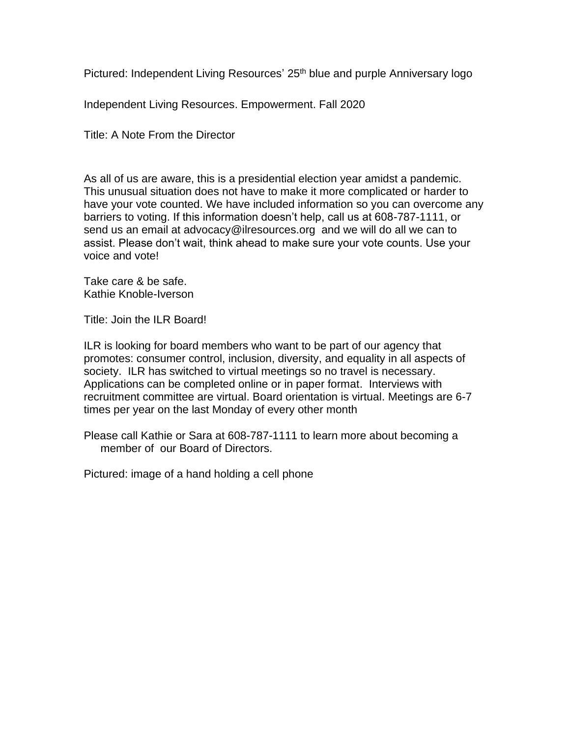Pictured: Independent Living Resources' 25<sup>th</sup> blue and purple Anniversary logo

Independent Living Resources. Empowerment. Fall 2020

Title: A Note From the Director

As all of us are aware, this is a presidential election year amidst a pandemic. This unusual situation does not have to make it more complicated or harder to have your vote counted. We have included information so you can overcome any barriers to voting. If this information doesn't help, call us at 608-787-1111, or send us an email at advocacy@ilresources.org and we will do all we can to assist. Please don't wait, think ahead to make sure your vote counts. Use your voice and vote!

Take care & be safe. Kathie Knoble-Iverson

Title: Join the ILR Board!

ILR is looking for board members who want to be part of our agency that promotes: consumer control, inclusion, diversity, and equality in all aspects of society. ILR has switched to virtual meetings so no travel is necessary. Applications can be completed online or in paper format. Interviews with recruitment committee are virtual. Board orientation is virtual. Meetings are 6-7 times per year on the last Monday of every other month

Please call Kathie or Sara at 608-787-1111 to learn more about becoming a member of our Board of Directors.

Pictured: image of a hand holding a cell phone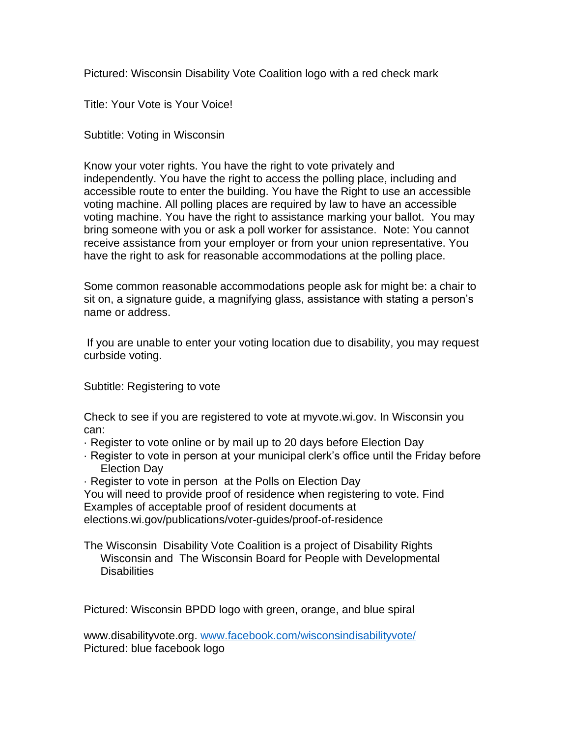Pictured: Wisconsin Disability Vote Coalition logo with a red check mark

Title: Your Vote is Your Voice!

Subtitle: Voting in Wisconsin

Know your voter rights. You have the right to vote privately and independently. You have the right to access the polling place, including and accessible route to enter the building. You have the Right to use an accessible voting machine. All polling places are required by law to have an accessible voting machine. You have the right to assistance marking your ballot. You may bring someone with you or ask a poll worker for assistance. Note: You cannot receive assistance from your employer or from your union representative. You have the right to ask for reasonable accommodations at the polling place.

Some common reasonable accommodations people ask for might be: a chair to sit on, a signature guide, a magnifying glass, assistance with stating a person's name or address.

If you are unable to enter your voting location due to disability, you may request curbside voting.

Subtitle: Registering to vote

Check to see if you are registered to vote at myvote.wi.gov. In Wisconsin you can:

- · Register to vote online or by mail up to 20 days before Election Day
- · Register to vote in person at your municipal clerk's office until the Friday before Election Day

· Register to vote in person at the Polls on Election Day

You will need to provide proof of residence when registering to vote. Find Examples of acceptable proof of resident documents at elections.wi.gov/publications/voter-guides/proof-of-residence

The Wisconsin Disability Vote Coalition is a project of Disability Rights Wisconsin and The Wisconsin Board for People with Developmental **Disabilities** 

Pictured: Wisconsin BPDD logo with green, orange, and blue spiral

[www.disabilityvote.org.](http://www.disabilityvote.org/) [www.facebook.com/wisconsindisabilityvote/](http://www.facebook.com/wisconsindisabilityvote/) Pictured: blue facebook logo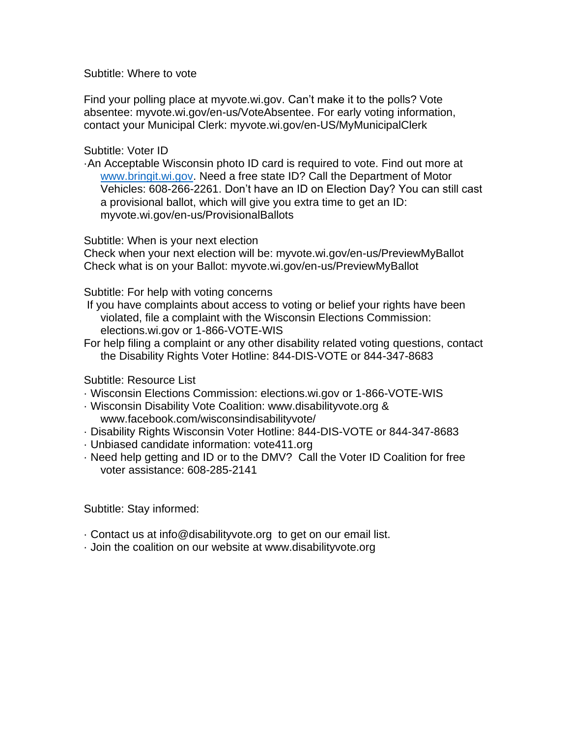Subtitle: Where to vote

Find your polling place at myvote.wi.gov. Can't make it to the polls? Vote absentee: myvote.wi.gov/en-us/VoteAbsentee. For early voting information, contact your Municipal Clerk: myvote.wi.gov/en-US/MyMunicipalClerk

Subtitle: Voter ID

·An Acceptable Wisconsin photo ID card is required to vote. Find out more at [www.bringit.wi.gov.](http://www.bringit.wi.gov/) Need a free state ID? Call the Department of Motor Vehicles: 608-266-2261. Don't have an ID on Election Day? You can still cast a provisional ballot, which will give you extra time to get an ID: myvote.wi.gov/en-us/ProvisionalBallots

Subtitle: When is your next election

Check when your next election will be: myvote.wi.gov/en-us/PreviewMyBallot Check what is on your Ballot: myvote.wi.gov/en-us/PreviewMyBallot

Subtitle: For help with voting concerns

- If you have complaints about access to voting or belief your rights have been violated, file a complaint with the Wisconsin Elections Commission: elections.wi.gov or 1-866-VOTE-WIS
- For help filing a complaint or any other disability related voting questions, contact the Disability Rights Voter Hotline: 844-DIS-VOTE or 844-347-8683

Subtitle: Resource List

- · Wisconsin Elections Commission: elections.wi.gov or 1-866-VOTE-WIS
- · Wisconsin Disability Vote Coalition: www.disabilityvote.org & www.facebook.com/wisconsindisabilityvote/
- · Disability Rights Wisconsin Voter Hotline: 844-DIS-VOTE or 844-347-8683
- · Unbiased candidate information: vote411.org
- · Need help getting and ID or to the DMV? Call the Voter ID Coalition for free voter assistance: 608-285-2141

Subtitle: Stay informed:

- · Contact us at info@disabilityvote.org to get on our email list.
- · Join the coalition on our website at www.disabilityvote.org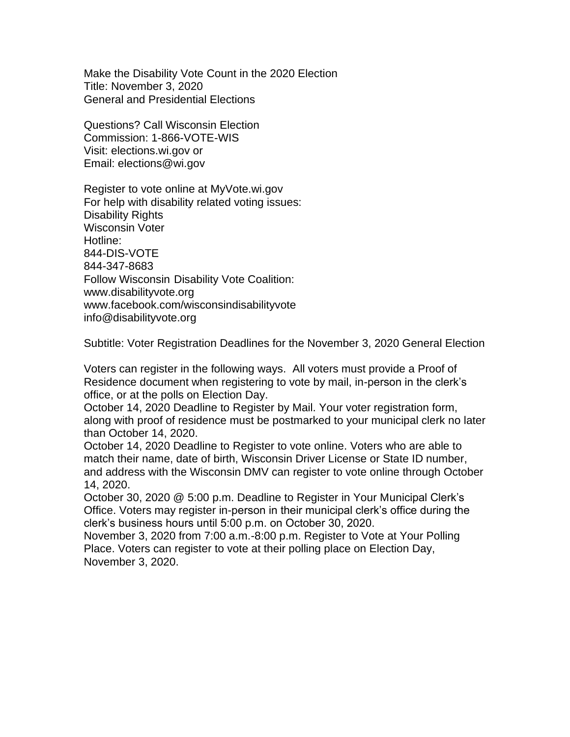Make the Disability Vote Count in the 2020 Election Title: November 3, 2020 General and Presidential Elections

Questions? Call Wisconsin Election Commission: 1-866-VOTE-WIS Visit: elections.wi.gov or Email: elections@wi.gov

Register to vote online at MyVote.wi.gov For help with disability related voting issues: Disability Rights Wisconsin Voter Hotline: 844-DIS-VOTE 844-347-8683 Follow Wisconsin Disability Vote Coalition: www.disabilityvote.org www.facebook.com/wisconsindisabilityvote info@disabilityvote.org

Subtitle: Voter Registration Deadlines for the November 3, 2020 General Election

Voters can register in the following ways. All voters must provide a Proof of Residence document when registering to vote by mail, in-person in the clerk's office, or at the polls on Election Day.

October 14, 2020 Deadline to Register by Mail. Your voter registration form, along with proof of residence must be postmarked to your municipal clerk no later than October 14, 2020.

October 14, 2020 Deadline to Register to vote online. Voters who are able to match their name, date of birth, Wisconsin Driver License or State ID number, and address with the Wisconsin DMV can register to vote online through October 14, 2020.

October 30, 2020 @ 5:00 p.m. Deadline to Register in Your Municipal Clerk's Office. Voters may register in-person in their municipal clerk's office during the clerk's business hours until 5:00 p.m. on October 30, 2020.

November 3, 2020 from 7:00 a.m.-8:00 p.m. Register to Vote at Your Polling Place. Voters can register to vote at their polling place on Election Day, November 3, 2020.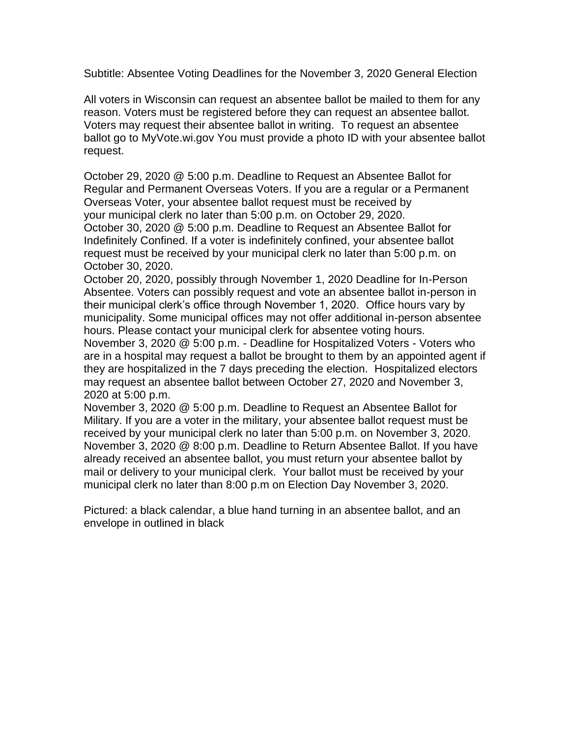Subtitle: Absentee Voting Deadlines for the November 3, 2020 General Election

All voters in Wisconsin can request an absentee ballot be mailed to them for any reason. Voters must be registered before they can request an absentee ballot. Voters may request their absentee ballot in writing. To request an absentee ballot go to MyVote.wi.gov You must provide a photo ID with your absentee ballot request.

October 29, 2020 @ 5:00 p.m. Deadline to Request an Absentee Ballot for Regular and Permanent Overseas Voters. If you are a regular or a Permanent Overseas Voter, your absentee ballot request must be received by your municipal clerk no later than 5:00 p.m. on October 29, 2020. October 30, 2020 @ 5:00 p.m. Deadline to Request an Absentee Ballot for Indefinitely Confined. If a voter is indefinitely confined, your absentee ballot request must be received by your municipal clerk no later than 5:00 p.m. on October 30, 2020.

October 20, 2020, possibly through November 1, 2020 Deadline for In-Person Absentee. Voters can possibly request and vote an absentee ballot in-person in their municipal clerk's office through November 1, 2020. Office hours vary by municipality. Some municipal offices may not offer additional in-person absentee hours. Please contact your municipal clerk for absentee voting hours.

November 3, 2020 @ 5:00 p.m. - Deadline for Hospitalized Voters - Voters who are in a hospital may request a ballot be brought to them by an appointed agent if they are hospitalized in the 7 days preceding the election. Hospitalized electors may request an absentee ballot between October 27, 2020 and November 3, 2020 at 5:00 p.m.

November 3, 2020 @ 5:00 p.m. Deadline to Request an Absentee Ballot for Military. If you are a voter in the military, your absentee ballot request must be received by your municipal clerk no later than 5:00 p.m. on November 3, 2020. November 3, 2020 @ 8:00 p.m. Deadline to Return Absentee Ballot. If you have already received an absentee ballot, you must return your absentee ballot by mail or delivery to your municipal clerk. Your ballot must be received by your municipal clerk no later than 8:00 p.m on Election Day November 3, 2020.

Pictured: a black calendar, a blue hand turning in an absentee ballot, and an envelope in outlined in black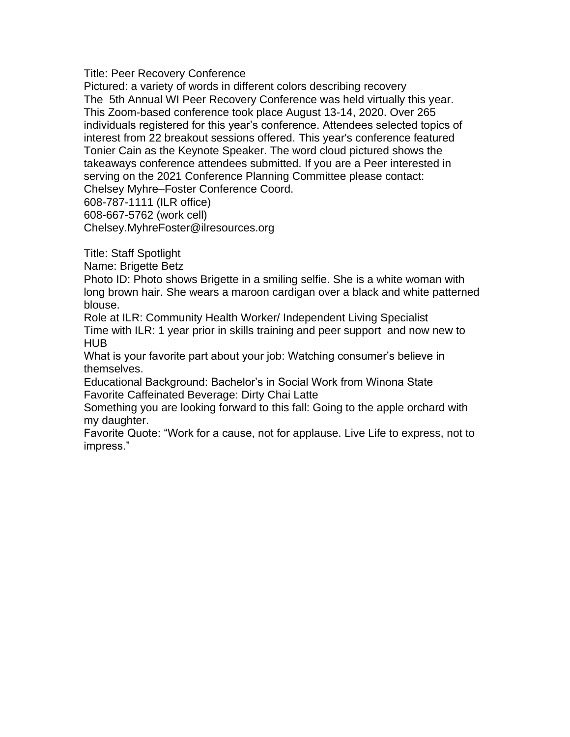Title: Peer Recovery Conference

Pictured: a variety of words in different colors describing recovery The 5th Annual WI Peer Recovery Conference was held virtually this year. This Zoom-based conference took place August 13-14, 2020. Over 265 individuals registered for this year's conference. Attendees selected topics of interest from 22 breakout sessions offered. This year's conference featured Tonier Cain as the Keynote Speaker. The word cloud pictured shows the takeaways conference attendees submitted. If you are a Peer interested in serving on the 2021 Conference Planning Committee please contact: Chelsey Myhre–Foster Conference Coord. 608-787-1111 (ILR office)

608-667-5762 (work cell)

Chelsey.MyhreFoster@ilresources.org

Title: Staff Spotlight

Name: Brigette Betz

Photo ID: Photo shows Brigette in a smiling selfie. She is a white woman with long brown hair. She wears a maroon cardigan over a black and white patterned blouse.

Role at ILR: Community Health Worker/ Independent Living Specialist Time with ILR: 1 year prior in skills training and peer support and now new to HUB

What is your favorite part about your job: Watching consumer's believe in themselves.

Educational Background: Bachelor's in Social Work from Winona State Favorite Caffeinated Beverage: Dirty Chai Latte

Something you are looking forward to this fall: Going to the apple orchard with my daughter.

Favorite Quote: "Work for a cause, not for applause. Live Life to express, not to impress."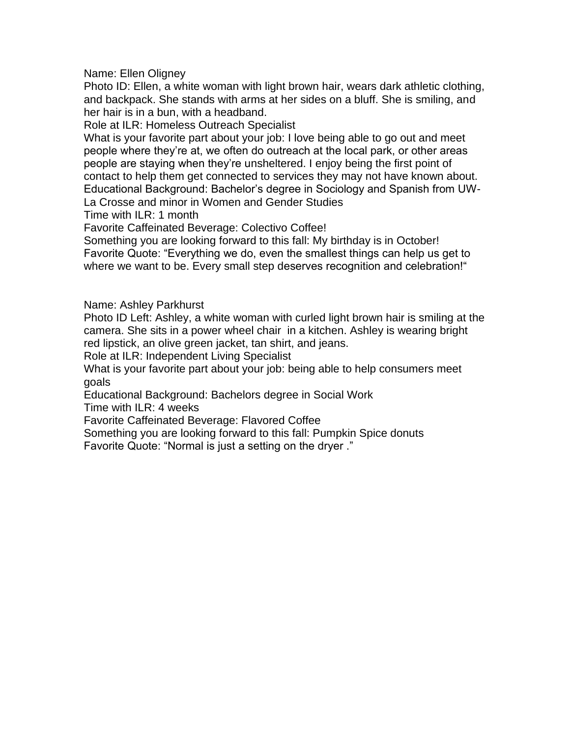Name: Ellen Oligney

Photo ID: Ellen, a white woman with light brown hair, wears dark athletic clothing, and backpack. She stands with arms at her sides on a bluff. She is smiling, and her hair is in a bun, with a headband.

Role at ILR: Homeless Outreach Specialist

What is your favorite part about your job: I love being able to go out and meet people where they're at, we often do outreach at the local park, or other areas people are staying when they're unsheltered. I enjoy being the first point of contact to help them get connected to services they may not have known about. Educational Background: Bachelor's degree in Sociology and Spanish from UW-La Crosse and minor in Women and Gender Studies

Time with ILR: 1 month

Favorite Caffeinated Beverage: Colectivo Coffee!

Something you are looking forward to this fall: My birthday is in October! Favorite Quote: "Everything we do, even the smallest things can help us get to where we want to be. Every small step deserves recognition and celebration!"

Name: Ashley Parkhurst

Photo ID Left: Ashley, a white woman with curled light brown hair is smiling at the camera. She sits in a power wheel chair in a kitchen. Ashley is wearing bright red lipstick, an olive green jacket, tan shirt, and jeans.

Role at ILR: Independent Living Specialist

What is your favorite part about your job: being able to help consumers meet goals

Educational Background: Bachelors degree in Social Work

Time with ILR: 4 weeks

Favorite Caffeinated Beverage: Flavored Coffee

Something you are looking forward to this fall: Pumpkin Spice donuts Favorite Quote: "Normal is just a setting on the dryer ."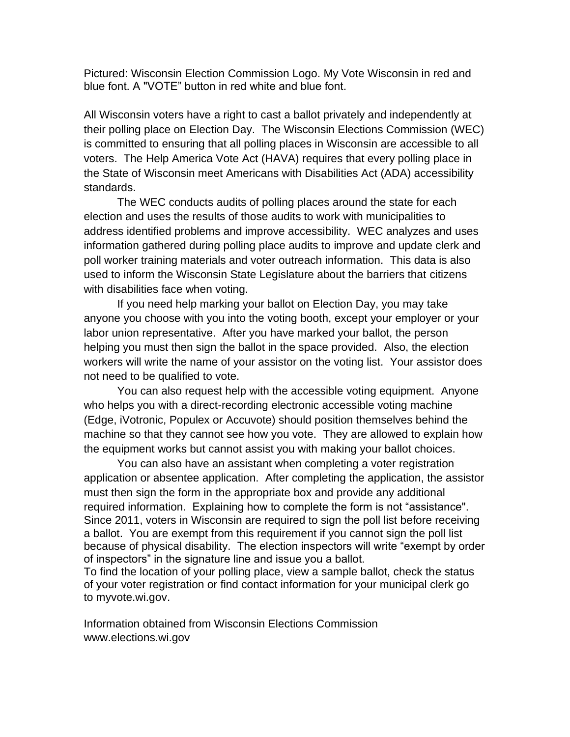Pictured: Wisconsin Election Commission Logo. My Vote Wisconsin in red and blue font. A "VOTE" button in red white and blue font.

All Wisconsin voters have a right to cast a ballot privately and independently at their polling place on Election Day. The Wisconsin Elections Commission (WEC) is committed to ensuring that all polling places in Wisconsin are accessible to all voters. The [Help America Vote Act \(HAVA\)](https://elections.wi.gov/elections-voting/hava) requires that every polling place in the State of Wisconsin meet [Americans with Disabilities Act \(ADA\)](http://www.ada.gov/) accessibility standards.

The WEC conducts audits of polling places around the state for each election and uses the results of those audits to work with municipalities to address identified problems and improve accessibility. WEC analyzes and uses information gathered during polling place audits to improve and update clerk and poll worker training materials and voter outreach information. This data is also used to inform the Wisconsin State Legislature about the barriers that citizens with disabilities face when voting.

If you need help marking your ballot on Election Day, you may take anyone you choose with you into the voting booth, except your employer or your labor union representative. After you have marked your ballot, the person helping you must then sign the ballot in the space provided. Also, the election workers will write the name of your assistor on the voting list. Your assistor does not need to be qualified to vote.

You can also request help with the accessible voting equipment. Anyone who helps you with a direct-recording electronic accessible voting machine (Edge, iVotronic, Populex or Accuvote) should position themselves behind the machine so that they cannot see how you vote. They are allowed to explain how the equipment works but cannot assist you with making your ballot choices.

You can also have an assistant when completing a voter registration application or absentee application. After completing the application, the assistor must then sign the form in the appropriate box and provide any additional required information. Explaining how to complete the form is not "assistance". Since 2011, voters in Wisconsin are required to sign the poll list before receiving a ballot. You are exempt from this requirement if you cannot sign the poll list because of physical disability. The election inspectors will write "exempt by order of inspectors" in the signature line and issue you a ballot.

To find the location of your polling place, view a sample ballot, check the status of your voter registration or find contact information for your municipal clerk go to [myvote.wi.gov.](http://myvote.wi.gov/)

Information obtained from Wisconsin Elections Commission www.elections.wi.gov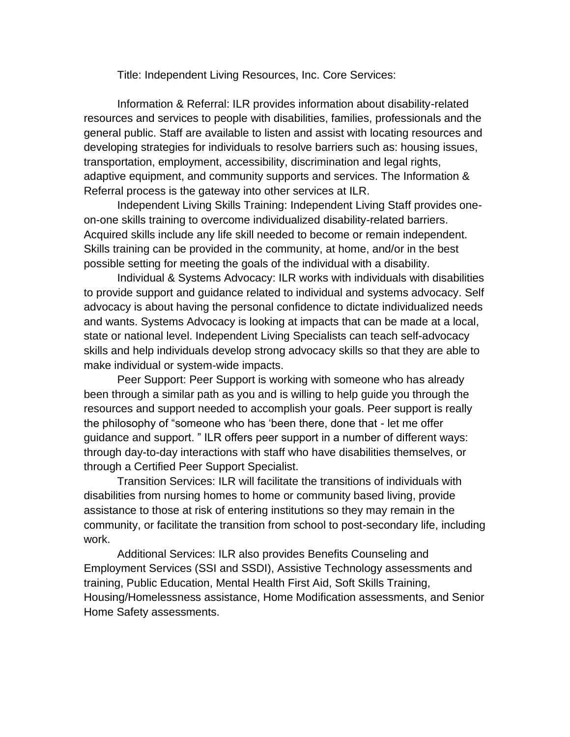Title: Independent Living Resources, Inc. Core Services:

Information & Referral: ILR provides information about disability-related resources and services to people with disabilities, families, professionals and the general public. Staff are available to listen and assist with locating resources and developing strategies for individuals to resolve barriers such as: housing issues, transportation, employment, accessibility, discrimination and legal rights, adaptive equipment, and community supports and services. The Information & Referral process is the gateway into other services at ILR.

Independent Living Skills Training: Independent Living Staff provides oneon-one skills training to overcome individualized disability-related barriers. Acquired skills include any life skill needed to become or remain independent. Skills training can be provided in the community, at home, and/or in the best possible setting for meeting the goals of the individual with a disability.

Individual & Systems Advocacy: ILR works with individuals with disabilities to provide support and guidance related to individual and systems advocacy. Self advocacy is about having the personal confidence to dictate individualized needs and wants. Systems Advocacy is looking at impacts that can be made at a local, state or national level. Independent Living Specialists can teach self-advocacy skills and help individuals develop strong advocacy skills so that they are able to make individual or system-wide impacts.

Peer Support: Peer Support is working with someone who has already been through a similar path as you and is willing to help guide you through the resources and support needed to accomplish your goals. Peer support is really the philosophy of "someone who has 'been there, done that - let me offer guidance and support. " ILR offers peer support in a number of different ways: through day-to-day interactions with staff who have disabilities themselves, or through a Certified Peer Support Specialist.

Transition Services: ILR will facilitate the transitions of individuals with disabilities from nursing homes to home or community based living, provide assistance to those at risk of entering institutions so they may remain in the community, or facilitate the transition from school to post-secondary life, including work.

Additional Services: ILR also provides Benefits Counseling and Employment Services (SSI and SSDI), Assistive Technology assessments and training, Public Education, Mental Health First Aid, Soft Skills Training, Housing/Homelessness assistance, Home Modification assessments, and Senior Home Safety assessments.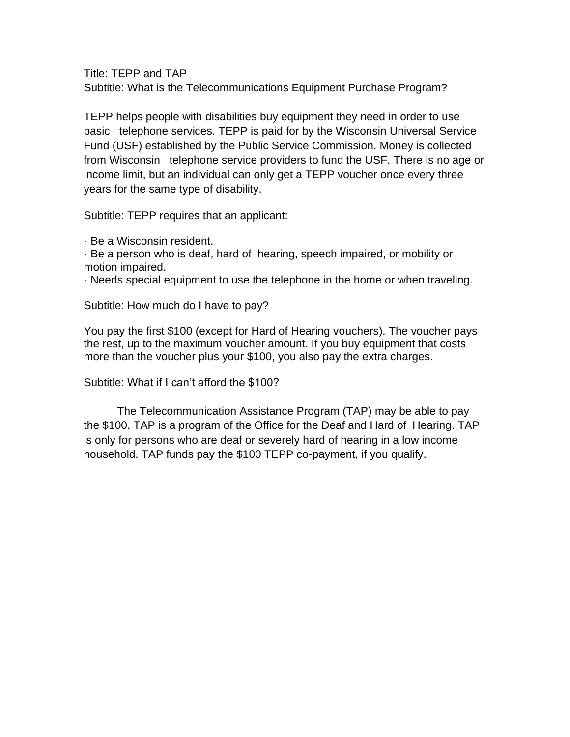Title: TEPP and TAP Subtitle: What is the Telecommunications Equipment Purchase Program?

TEPP helps people with disabilities buy equipment they need in order to use basic telephone services. TEPP is paid for by the Wisconsin Universal Service Fund (USF) established by the Public Service Commission. Money is collected from Wisconsin telephone service providers to fund the USF. There is no age or income limit, but an individual can only get a TEPP voucher once every three years for the same type of disability.

Subtitle: TEPP requires that an applicant:

· Be a Wisconsin resident.

· Be a person who is deaf, hard of hearing, speech impaired, or mobility or motion impaired.

· Needs special equipment to use the telephone in the home or when traveling.

Subtitle: How much do I have to pay?

You pay the first \$100 (except for Hard of Hearing vouchers). The voucher pays the rest, up to the maximum voucher amount. If you buy equipment that costs more than the voucher plus your \$100, you also pay the extra charges.

Subtitle: What if I can't afford the \$100?

The Telecommunication Assistance Program (TAP) may be able to pay the \$100. TAP is a program of the Office for the Deaf and Hard of Hearing. TAP is only for persons who are deaf or severely hard of hearing in a low income household. TAP funds pay the \$100 TEPP co-payment, if you qualify.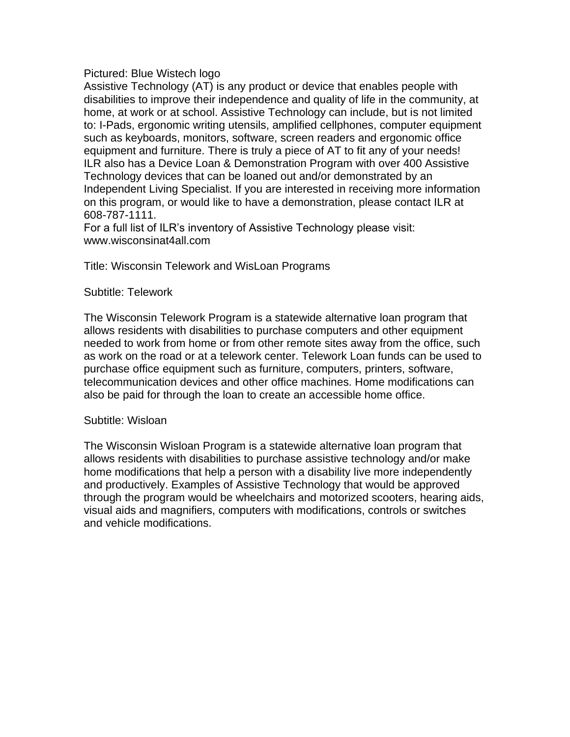## Pictured: Blue Wistech logo

Assistive Technology (AT) is any product or device that enables people with disabilities to improve their independence and quality of life in the community, at home, at work or at school. Assistive Technology can include, but is not limited to: I-Pads, ergonomic writing utensils, amplified cellphones, computer equipment such as keyboards, monitors, software, screen readers and ergonomic office equipment and furniture. There is truly a piece of AT to fit any of your needs! ILR also has a Device Loan & Demonstration Program with over 400 Assistive Technology devices that can be loaned out and/or demonstrated by an Independent Living Specialist. If you are interested in receiving more information on this program, or would like to have a demonstration, please contact ILR at 608-787-1111.

For a full list of ILR's inventory of Assistive Technology please visit: www.wisconsinat4all.com

Title: Wisconsin Telework and WisLoan Programs

## Subtitle: Telework

The Wisconsin Telework Program is a statewide alternative loan program that allows residents with disabilities to purchase computers and other equipment needed to work from home or from other remote sites away from the office, such as work on the road or at a telework center. Telework Loan funds can be used to purchase office equipment such as furniture, computers, printers, software, telecommunication devices and other office machines. Home modifications can also be paid for through the loan to create an accessible home office.

## Subtitle: Wisloan

The Wisconsin Wisloan Program is a statewide alternative loan program that allows residents with disabilities to purchase assistive technology and/or make home modifications that help a person with a disability live more independently and productively. Examples of Assistive Technology that would be approved through the program would be wheelchairs and motorized scooters, hearing aids, visual aids and magnifiers, computers with modifications, controls or switches and vehicle modifications.